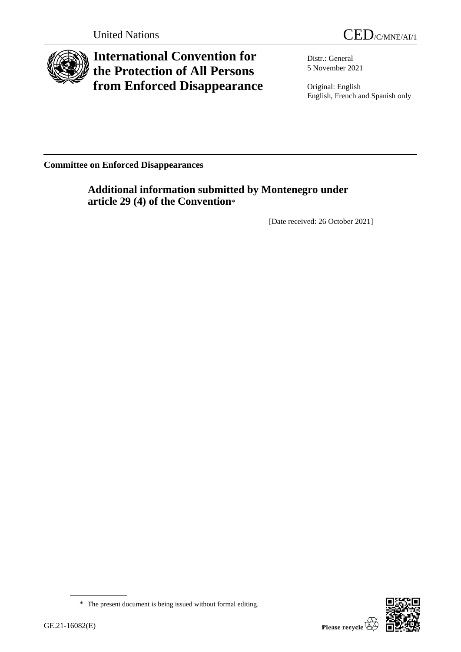



# **International Convention for the Protection of All Persons from Enforced Disappearance**

Distr.: General 5 November 2021

Original: English English, French and Spanish only

**Committee on Enforced Disappearances**

**Additional information submitted by Montenegro under article 29 (4) of the Convention**\*

[Date received: 26 October 2021]

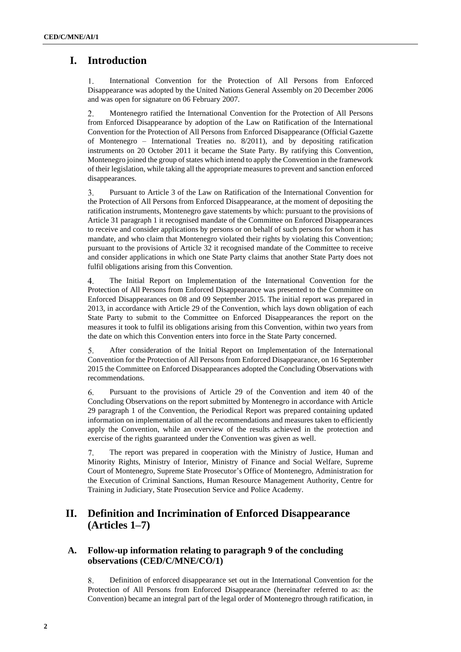## **I. Introduction**

International Convention for the Protection of All Persons from Enforced  $\mathbf{1}_{-}$ Disappearance was adopted by the United Nations General Assembly on 20 December 2006 and was open for signature on 06 February 2007.

Montenegro ratified the International Convention for the Protection of All Persons 2. from Enforced Disappearance by adoption of the Law on Ratification of the International Convention for the Protection of All Persons from Enforced Disappearance (Official Gazette of Montenegro – International Treaties no. 8/2011), and by depositing ratification instruments on 20 October 2011 it became the State Party. By ratifying this Convention, Montenegro joined the group of states which intend to apply the Convention in the framework of their legislation, while taking all the appropriate measures to prevent and sanction enforced disappearances.

3. Pursuant to Article 3 of the Law on Ratification of the International Convention for the Protection of All Persons from Enforced Disappearance, at the moment of depositing the ratification instruments, Montenegro gave statements by which: pursuant to the provisions of Article 31 paragraph 1 it recognised mandate of the Committee on Enforced Disappearances to receive and consider applications by persons or on behalf of such persons for whom it has mandate, and who claim that Montenegro violated their rights by violating this Convention; pursuant to the provisions of Article 32 it recognised mandate of the Committee to receive and consider applications in which one State Party claims that another State Party does not fulfil obligations arising from this Convention.

 $\overline{4}$ . The Initial Report on Implementation of the International Convention for the Protection of All Persons from Enforced Disappearance was presented to the Committee on Enforced Disappearances on 08 and 09 September 2015. The initial report was prepared in 2013, in accordance with Article 29 of the Convention, which lays down obligation of each State Party to submit to the Committee on Enforced Disappearances the report on the measures it took to fulfil its obligations arising from this Convention, within two years from the date on which this Convention enters into force in the State Party concerned.

After consideration of the Initial Report on Implementation of the International 5. Convention for the Protection of All Persons from Enforced Disappearance, on 16 September 2015 the Committee on Enforced Disappearances adopted the Concluding Observations with recommendations.

6. Pursuant to the provisions of Article 29 of the Convention and item 40 of the Concluding Observations on the report submitted by Montenegro in accordance with Article 29 paragraph 1 of the Convention, the Periodical Report was prepared containing updated information on implementation of all the recommendations and measures taken to efficiently apply the Convention, while an overview of the results achieved in the protection and exercise of the rights guaranteed under the Convention was given as well.

7. The report was prepared in cooperation with the Ministry of Justice, Human and Minority Rights, Ministry of Interior, Ministry of Finance and Social Welfare, Supreme Court of Montenegro, Supreme State Prosecutor's Office of Montenegro, Administration for the Execution of Criminal Sanctions, Human Resource Management Authority, Centre for Training in Judiciary, State Prosecution Service and Police Academy.

## **II. Definition and Incrimination of Enforced Disappearance (Articles 1–7)**

## **A. Follow-up information relating to paragraph 9 of the concluding observations (CED/C/MNE/CO/1)**

8. Definition of enforced disappearance set out in the International Convention for the Protection of All Persons from Enforced Disappearance (hereinafter referred to as: the Convention) became an integral part of the legal order of Montenegro through ratification, in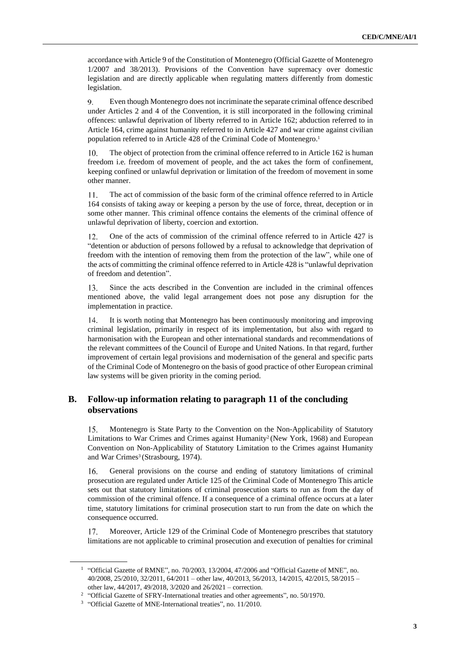accordance with Article 9 of the Constitution of Montenegro (Official Gazette of Montenegro 1/2007 and 38/2013). Provisions of the Convention have supremacy over domestic legislation and are directly applicable when regulating matters differently from domestic legislation.

Even though Montenegro does not incriminate the separate criminal offence described 9. under Articles 2 and 4 of the Convention, it is still incorporated in the following criminal offences: unlawful deprivation of liberty referred to in Article 162; abduction referred to in Article 164, crime against humanity referred to in Article 427 and war crime against civilian population referred to in Article 428 of the Criminal Code of Montenegro.<sup>1</sup>

The object of protection from the criminal offence referred to in Article 162 is human 10. freedom i.e. freedom of movement of people, and the act takes the form of confinement, keeping confined or unlawful deprivation or limitation of the freedom of movement in some other manner.

11. The act of commission of the basic form of the criminal offence referred to in Article 164 consists of taking away or keeping a person by the use of force, threat, deception or in some other manner. This criminal offence contains the elements of the criminal offence of unlawful deprivation of liberty, coercion and extortion.

 $12.$ One of the acts of commission of the criminal offence referred to in Article 427 is "detention or abduction of persons followed by a refusal to acknowledge that deprivation of freedom with the intention of removing them from the protection of the law", while one of the acts of committing the criminal offence referred to in Article 428 is "unlawful deprivation of freedom and detention".

Since the acts described in the Convention are included in the criminal offences  $13.$ mentioned above, the valid legal arrangement does not pose any disruption for the implementation in practice.

14. It is worth noting that Montenegro has been continuously monitoring and improving criminal legislation, primarily in respect of its implementation, but also with regard to harmonisation with the European and other international standards and recommendations of the relevant committees of the Council of Europe and United Nations. In that regard, further improvement of certain legal provisions and modernisation of the general and specific parts of the Criminal Code of Montenegro on the basis of good practice of other European criminal law systems will be given priority in the coming period.

## **B. Follow-up information relating to paragraph 11 of the concluding observations**

 $15.$ Montenegro is State Party to the Convention on the Non-Applicability of Statutory Limitations to War Crimes and Crimes against Humanity<sup>2</sup> (New York, 1968) and European Convention on Non-Applicability of Statutory Limitation to the Crimes against Humanity and War Crimes<sup>3</sup> (Strasbourg, 1974).

16. General provisions on the course and ending of statutory limitations of criminal prosecution are regulated under Article 125 of the Criminal Code of Montenegro This article sets out that statutory limitations of criminal prosecution starts to run as from the day of commission of the criminal offence. If a consequence of a criminal offence occurs at a later time, statutory limitations for criminal prosecution start to run from the date on which the consequence occurred.

 $17<sub>1</sub>$ Moreover, Article 129 of the Criminal Code of Montenegro prescribes that statutory limitations are not applicable to criminal prosecution and execution of penalties for criminal

<sup>&</sup>lt;sup>1</sup> "Official Gazette of RMNE", no. 70/2003, 13/2004, 47/2006 and "Official Gazette of MNE", no. 40/2008, 25/2010, 32/2011, 64/2011 – other law, 40/2013, 56/2013, 14/2015, 42/2015, 58/2015 – other law, 44/2017, 49/2018, 3/2020 and 26/2021 – correction.

<sup>&</sup>lt;sup>2</sup> "Official Gazette of SFRY-International treaties and other agreements", no. 50/1970.

<sup>&</sup>lt;sup>3</sup> "Official Gazette of MNE-International treaties", no. 11/2010.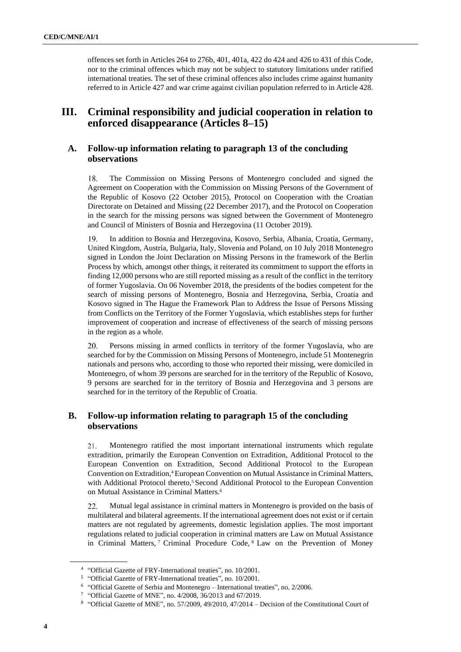offences set forth in Articles 264 to 276b, 401, 401a, 422 do 424 and 426 to 431 of this Code, nor to the criminal offences which may not be subject to statutory limitations under ratified international treaties. The set of these criminal offences also includes crime against humanity referred to in Article 427 and war crime against civilian population referred to in Article 428.

## **III. Criminal responsibility and judicial cooperation in relation to enforced disappearance (Articles 8–15)**

## **A. Follow-up information relating to paragraph 13 of the concluding observations**

18. The Commission on Missing Persons of Montenegro concluded and signed the Agreement on Cooperation with the Commission on Missing Persons of the Government of the Republic of Kosovo (22 October 2015), Protocol on Cooperation with the Croatian Directorate on Detained and Missing (22 December 2017), and the Protocol on Cooperation in the search for the missing persons was signed between the Government of Montenegro and Council of Ministers of Bosnia and Herzegovina (11 October 2019).

In addition to Bosnia and Herzegovina, Kosovo, Serbia, Albania, Croatia, Germany, 19. United Kingdom, Austria, Bulgaria, Italy, Slovenia and Poland, on 10 July 2018 Montenegro signed in London the Joint Declaration on Missing Persons in the framework of the Berlin Process by which, amongst other things, it reiterated its commitment to support the efforts in finding 12,000 persons who are still reported missing as a result of the conflict in the territory of former Yugoslavia. On 06 November 2018, the presidents of the bodies competent for the search of missing persons of Montenegro, Bosnia and Herzegovina, Serbia, Croatia and Kosovo signed in The Hague the Framework Plan to Address the Issue of Persons Missing from Conflicts on the Territory of the Former Yugoslavia, which establishes steps for further improvement of cooperation and increase of effectiveness of the search of missing persons in the region as a whole.

20. Persons missing in armed conflicts in territory of the former Yugoslavia, who are searched for by the Commission on Missing Persons of Montenegro, include 51 Montenegrin nationals and persons who, according to those who reported their missing, were domiciled in Montenegro, of whom 39 persons are searched for in the territory of the Republic of Kosovo, 9 persons are searched for in the territory of Bosnia and Herzegovina and 3 persons are searched for in the territory of the Republic of Croatia.

## **B. Follow-up information relating to paragraph 15 of the concluding observations**

21. Montenegro ratified the most important international instruments which regulate extradition, primarily the European Convention on Extradition, Additional Protocol to the European Convention on Extradition, Second Additional Protocol to the European Convention on Extradition,<sup>4</sup> European Convention on Mutual Assistance in Criminal Matters, with Additional Protocol thereto,<sup>5</sup> Second Additional Protocol to the European Convention on Mutual Assistance in Criminal Matters.<sup>6</sup>

22. Mutual legal assistance in criminal matters in Montenegro is provided on the basis of multilateral and bilateral agreements. If the international agreement does not exist or if certain matters are not regulated by agreements, domestic legislation applies. The most important regulations related to judicial cooperation in criminal matters are Law on Mutual Assistance in Criminal Matters, <sup>7</sup> Criminal Procedure Code, <sup>8</sup> Law on the Prevention of Money

<sup>4</sup> "Official Gazette of FRY-International treaties", no. 10/2001.

<sup>&</sup>lt;sup>5</sup> "Official Gazette of FRY-International treaties", no. 10/2001.

<sup>6</sup> "Official Gazette of Serbia and Montenegro – International treaties", no. 2/2006.

<sup>&</sup>lt;sup>7</sup> "Official Gazette of MNE", no. 4/2008, 36/2013 and 67/2019.

<sup>&</sup>lt;sup>8</sup> "Official Gazette of MNE", no. 57/2009, 49/2010, 47/2014 – Decision of the Constitutional Court of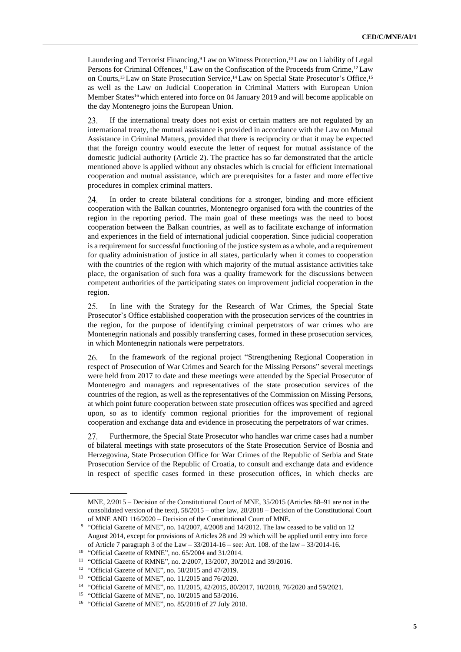Laundering and Terrorist Financing,<sup>9</sup> Law on Witness Protection,<sup>10</sup> Law on Liability of Legal Persons for Criminal Offences,<sup>11</sup> Law on the Confiscation of the Proceeds from Crime,<sup>12</sup> Law on Courts,<sup>13</sup> Law on State Prosecution Service,<sup>14</sup> Law on Special State Prosecutor's Office,<sup>15</sup> as well as the Law on Judicial Cooperation in Criminal Matters with European Union Member States<sup>16</sup> which entered into force on 04 January 2019 and will become applicable on the day Montenegro joins the European Union.

23. If the international treaty does not exist or certain matters are not regulated by an international treaty, the mutual assistance is provided in accordance with the Law on Mutual Assistance in Criminal Matters, provided that there is reciprocity or that it may be expected that the foreign country would execute the letter of request for mutual assistance of the domestic judicial authority (Article 2). The practice has so far demonstrated that the article mentioned above is applied without any obstacles which is crucial for efficient international cooperation and mutual assistance, which are prerequisites for a faster and more effective procedures in complex criminal matters.

24. In order to create bilateral conditions for a stronger, binding and more efficient cooperation with the Balkan countries, Montenegro organised fora with the countries of the region in the reporting period. The main goal of these meetings was the need to boost cooperation between the Balkan countries, as well as to facilitate exchange of information and experiences in the field of international judicial cooperation. Since judicial cooperation is a requirement for successful functioning of the justice system as a whole, and a requirement for quality administration of justice in all states, particularly when it comes to cooperation with the countries of the region with which majority of the mutual assistance activities take place, the organisation of such fora was a quality framework for the discussions between competent authorities of the participating states on improvement judicial cooperation in the region.

25. In line with the Strategy for the Research of War Crimes, the Special State Prosecutor's Office established cooperation with the prosecution services of the countries in the region, for the purpose of identifying criminal perpetrators of war crimes who are Montenegrin nationals and possibly transferring cases, formed in these prosecution services, in which Montenegrin nationals were perpetrators.

26. In the framework of the regional project "Strengthening Regional Cooperation in respect of Prosecution of War Crimes and Search for the Missing Persons" several meetings were held from 2017 to date and these meetings were attended by the Special Prosecutor of Montenegro and managers and representatives of the state prosecution services of the countries of the region, as well as the representatives of the Commission on Missing Persons, at which point future cooperation between state prosecution offices was specified and agreed upon, so as to identify common regional priorities for the improvement of regional cooperation and exchange data and evidence in prosecuting the perpetrators of war crimes.

27. Furthermore, the Special State Prosecutor who handles war crime cases had a number of bilateral meetings with state prosecutors of the State Prosecution Service of Bosnia and Herzegovina, State Prosecution Office for War Crimes of the Republic of Serbia and State Prosecution Service of the Republic of Croatia, to consult and exchange data and evidence in respect of specific cases formed in these prosecution offices, in which checks are

MNE, 2/2015 – Decision of the Constitutional Court of MNE, 35/2015 (Articles 88–91 are not in the consolidated version of the text), 58/2015 – other law, 28/2018 – Decision of the Constitutional Court of MNE AND 116/2020 – Decision of the Constitutional Court of MNE.

<sup>&</sup>lt;sup>9</sup> "Official Gazette of MNE", no. 14/2007, 4/2008 and 14/2012. The law ceased to be valid on 12 August 2014, except for provisions of Articles 28 and 29 which will be applied until entry into force of Article 7 paragraph 3 of the Law – 33/2014-16 – see: Art. 108. of the law – 33/2014-16.

<sup>&</sup>lt;sup>10</sup> "Official Gazette of RMNE", no. 65/2004 and 31/2014.

<sup>11</sup> "Official Gazette of RMNE", no. 2/2007, 13/2007, 30/2012 and 39/2016.

<sup>12</sup> "Official Gazette of MNE", no. 58/2015 and 47/2019.

<sup>13</sup> "Official Gazette of MNE", no. 11/2015 and 76/2020.

<sup>14</sup> "Official Gazette of MNE", no. 11/2015, 42/2015, 80/2017, 10/2018, 76/2020 and 59/2021.

<sup>15</sup> "Official Gazette of MNE", no. 10/2015 and 53/2016.

<sup>16</sup> "Official Gazette of MNE", no. 85/2018 of 27 July 2018.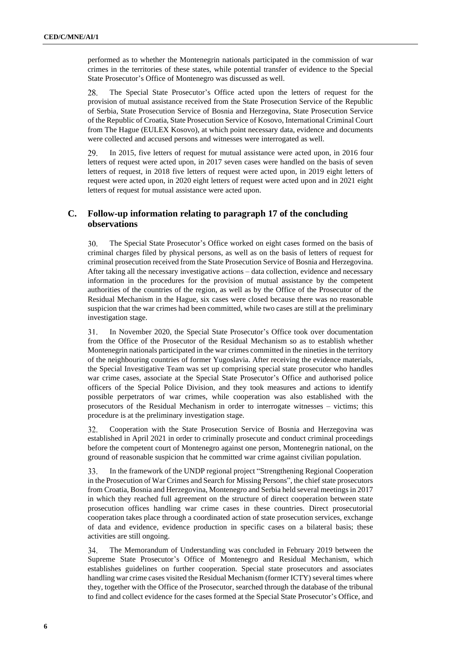performed as to whether the Montenegrin nationals participated in the commission of war crimes in the territories of these states, while potential transfer of evidence to the Special State Prosecutor's Office of Montenegro was discussed as well.

28. The Special State Prosecutor's Office acted upon the letters of request for the provision of mutual assistance received from the State Prosecution Service of the Republic of Serbia, State Prosecution Service of Bosnia and Herzegovina, State Prosecution Service of the Republic of Croatia, State Prosecution Service of Kosovo, International Criminal Court from The Hague (EULEX Kosovo), at which point necessary data, evidence and documents were collected and accused persons and witnesses were interrogated as well.

29. In 2015, five letters of request for mutual assistance were acted upon, in 2016 four letters of request were acted upon, in 2017 seven cases were handled on the basis of seven letters of request, in 2018 five letters of request were acted upon, in 2019 eight letters of request were acted upon, in 2020 eight letters of request were acted upon and in 2021 eight letters of request for mutual assistance were acted upon.

## **C. Follow-up information relating to paragraph 17 of the concluding observations**

The Special State Prosecutor's Office worked on eight cases formed on the basis of  $30.$ criminal charges filed by physical persons, as well as on the basis of letters of request for criminal prosecution received from the State Prosecution Service of Bosnia and Herzegovina. After taking all the necessary investigative actions – data collection, evidence and necessary information in the procedures for the provision of mutual assistance by the competent authorities of the countries of the region, as well as by the Office of the Prosecutor of the Residual Mechanism in the Hague, six cases were closed because there was no reasonable suspicion that the war crimes had been committed, while two cases are still at the preliminary investigation stage.

31. In November 2020, the Special State Prosecutor's Office took over documentation from the Office of the Prosecutor of the Residual Mechanism so as to establish whether Montenegrin nationals participated in the war crimes committed in the nineties in the territory of the neighbouring countries of former Yugoslavia. After receiving the evidence materials, the Special Investigative Team was set up comprising special state prosecutor who handles war crime cases, associate at the Special State Prosecutor's Office and authorised police officers of the Special Police Division, and they took measures and actions to identify possible perpetrators of war crimes, while cooperation was also established with the prosecutors of the Residual Mechanism in order to interrogate witnesses – victims; this procedure is at the preliminary investigation stage.

32. Cooperation with the State Prosecution Service of Bosnia and Herzegovina was established in April 2021 in order to criminally prosecute and conduct criminal proceedings before the competent court of Montenegro against one person, Montenegrin national, on the ground of reasonable suspicion that he committed war crime against civilian population.

33. In the framework of the UNDP regional project "Strengthening Regional Cooperation in the Prosecution of War Crimes and Search for Missing Persons", the chief state prosecutors from Croatia, Bosnia and Herzegovina, Montenegro and Serbia held several meetings in 2017 in which they reached full agreement on the structure of direct cooperation between state prosecution offices handling war crime cases in these countries. Direct prosecutorial cooperation takes place through a coordinated action of state prosecution services, exchange of data and evidence, evidence production in specific cases on a bilateral basis; these activities are still ongoing.

34. The Memorandum of Understanding was concluded in February 2019 between the Supreme State Prosecutor's Office of Montenegro and Residual Mechanism, which establishes guidelines on further cooperation. Special state prosecutors and associates handling war crime cases visited the Residual Mechanism (former ICTY) several times where they, together with the Office of the Prosecutor, searched through the database of the tribunal to find and collect evidence for the cases formed at the Special State Prosecutor's Office, and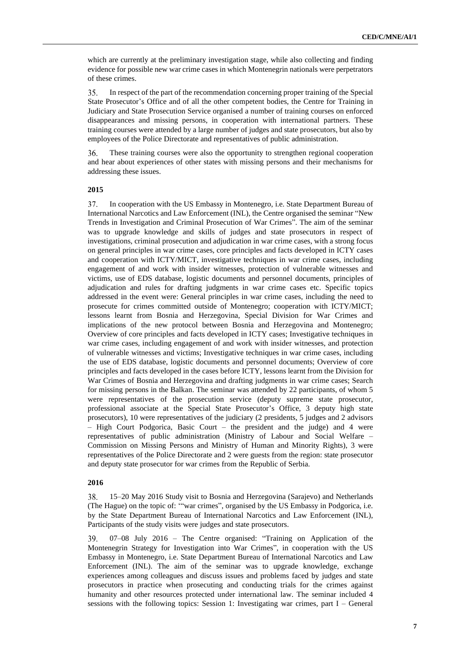which are currently at the preliminary investigation stage, while also collecting and finding evidence for possible new war crime cases in which Montenegrin nationals were perpetrators of these crimes.

35. In respect of the part of the recommendation concerning proper training of the Special State Prosecutor's Office and of all the other competent bodies, the Centre for Training in Judiciary and State Prosecution Service organised a number of training courses on enforced disappearances and missing persons, in cooperation with international partners. These training courses were attended by a large number of judges and state prosecutors, but also by employees of the Police Directorate and representatives of public administration.

These training courses were also the opportunity to strengthen regional cooperation 36. and hear about experiences of other states with missing persons and their mechanisms for addressing these issues.

#### **2015**

37. In cooperation with the US Embassy in Montenegro, i.e. State Department Bureau of International Narcotics and Law Enforcement (INL), the Centre organised the seminar "New Trends in Investigation and Criminal Prosecution of War Crimes". The aim of the seminar was to upgrade knowledge and skills of judges and state prosecutors in respect of investigations, criminal prosecution and adjudication in war crime cases, with a strong focus on general principles in war crime cases, core principles and facts developed in ICTY cases and cooperation with ICTY/MICT, investigative techniques in war crime cases, including engagement of and work with insider witnesses, protection of vulnerable witnesses and victims, use of EDS database, logistic documents and personnel documents, principles of adjudication and rules for drafting judgments in war crime cases etc. Specific topics addressed in the event were: General principles in war crime cases, including the need to prosecute for crimes committed outside of Montenegro; cooperation with ICTY/MICT; lessons learnt from Bosnia and Herzegovina, Special Division for War Crimes and implications of the new protocol between Bosnia and Herzegovina and Montenegro; Overview of core principles and facts developed in ICTY cases; Investigative techniques in war crime cases, including engagement of and work with insider witnesses, and protection of vulnerable witnesses and victims; Investigative techniques in war crime cases, including the use of EDS database, logistic documents and personnel documents; Overview of core principles and facts developed in the cases before ICTY, lessons learnt from the Division for War Crimes of Bosnia and Herzegovina and drafting judgments in war crime cases; Search for missing persons in the Balkan. The seminar was attended by 22 participants, of whom 5 were representatives of the prosecution service (deputy supreme state prosecutor, professional associate at the Special State Prosecutor's Office, 3 deputy high state prosecutors), 10 were representatives of the judiciary (2 presidents, 5 judges and 2 advisors – High Court Podgorica, Basic Court – the president and the judge) and 4 were representatives of public administration (Ministry of Labour and Social Welfare – Commission on Missing Persons and Ministry of Human and Minority Rights), 3 were representatives of the Police Directorate and 2 were guests from the region: state prosecutor and deputy state prosecutor for war crimes from the Republic of Serbia.

#### **2016**

38. 15–20 May 2016 Study visit to Bosnia and Herzegovina (Sarajevo) and Netherlands (The Hague) on the topic of: '"war crimes", organised by the US Embassy in Podgorica, i.e. by the State Department Bureau of International Narcotics and Law Enforcement (INL), Participants of the study visits were judges and state prosecutors.

39. 07–08 July 2016 – The Centre organised: "Training on Application of the Montenegrin Strategy for Investigation into War Crimes", in cooperation with the US Embassy in Montenegro, i.e. State Department Bureau of International Narcotics and Law Enforcement (INL). The aim of the seminar was to upgrade knowledge, exchange experiences among colleagues and discuss issues and problems faced by judges and state prosecutors in practice when prosecuting and conducting trials for the crimes against humanity and other resources protected under international law. The seminar included 4 sessions with the following topics: Session 1: Investigating war crimes, part I – General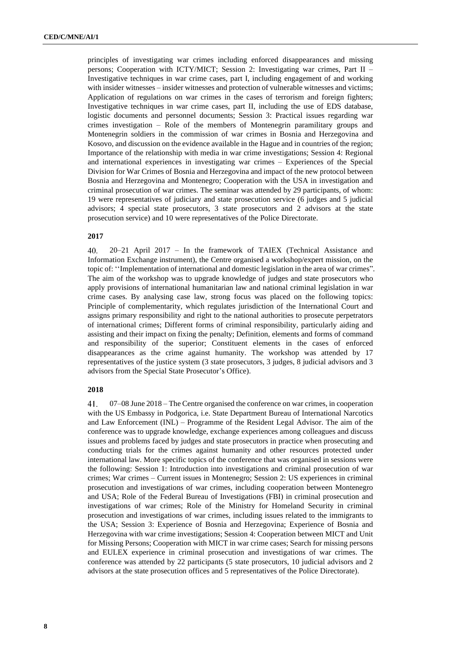principles of investigating war crimes including enforced disappearances and missing persons; Cooperation with ICTY/MICT; Session 2: Investigating war crimes, Part II – Investigative techniques in war crime cases, part I, including engagement of and working with insider witnesses – insider witnesses and protection of vulnerable witnesses and victims; Application of regulations on war crimes in the cases of terrorism and foreign fighters; Investigative techniques in war crime cases, part II, including the use of EDS database, logistic documents and personnel documents; Session 3: Practical issues regarding war crimes investigation – Role of the members of Montenegrin paramilitary groups and Montenegrin soldiers in the commission of war crimes in Bosnia and Herzegovina and Kosovo, and discussion on the evidence available in the Hague and in countries of the region; Importance of the relationship with media in war crime investigations; Session 4: Regional and international experiences in investigating war crimes – Experiences of the Special Division for War Crimes of Bosnia and Herzegovina and impact of the new protocol between Bosnia and Herzegovina and Montenegro; Cooperation with the USA in investigation and criminal prosecution of war crimes. The seminar was attended by 29 participants, of whom: 19 were representatives of judiciary and state prosecution service (6 judges and 5 judicial advisors; 4 special state prosecutors, 3 state prosecutors and 2 advisors at the state prosecution service) and 10 were representatives of the Police Directorate.

#### **2017**

40. 20–21 April 2017 – In the framework of TAIEX (Technical Assistance and Information Exchange instrument), the Centre organised a workshop/expert mission, on the topic of: ''Implementation of international and domestic legislation in the area of war crimes". The aim of the workshop was to upgrade knowledge of judges and state prosecutors who apply provisions of international humanitarian law and national criminal legislation in war crime cases. By analysing case law, strong focus was placed on the following topics: Principle of complementarity, which regulates jurisdiction of the International Court and assigns primary responsibility and right to the national authorities to prosecute perpetrators of international crimes; Different forms of criminal responsibility, particularly aiding and assisting and their impact on fixing the penalty; Definition, elements and forms of command and responsibility of the superior; Constituent elements in the cases of enforced disappearances as the crime against humanity. The workshop was attended by 17 representatives of the justice system (3 state prosecutors, 3 judges, 8 judicial advisors and 3 advisors from the Special State Prosecutor's Office).

#### **2018**

41. 07–08 June 2018 – The Centre organised the conference on war crimes, in cooperation with the US Embassy in Podgorica, i.e. State Department Bureau of International Narcotics and Law Enforcement (INL) – Programme of the Resident Legal Advisor. The aim of the conference was to upgrade knowledge, exchange experiences among colleagues and discuss issues and problems faced by judges and state prosecutors in practice when prosecuting and conducting trials for the crimes against humanity and other resources protected under international law. More specific topics of the conference that was organised in sessions were the following: Session 1: Introduction into investigations and criminal prosecution of war crimes; War crimes – Current issues in Montenegro; Session 2: US experiences in criminal prosecution and investigations of war crimes, including cooperation between Montenegro and USA; Role of the Federal Bureau of Investigations (FBI) in criminal prosecution and investigations of war crimes; Role of the Ministry for Homeland Security in criminal prosecution and investigations of war crimes, including issues related to the immigrants to the USA; Session 3: Experience of Bosnia and Herzegovina; Experience of Bosnia and Herzegovina with war crime investigations; Session 4: Cooperation between MICT and Unit for Missing Persons; Cooperation with MICT in war crime cases; Search for missing persons and EULEX experience in criminal prosecution and investigations of war crimes. The conference was attended by 22 participants (5 state prosecutors, 10 judicial advisors and 2 advisors at the state prosecution offices and 5 representatives of the Police Directorate).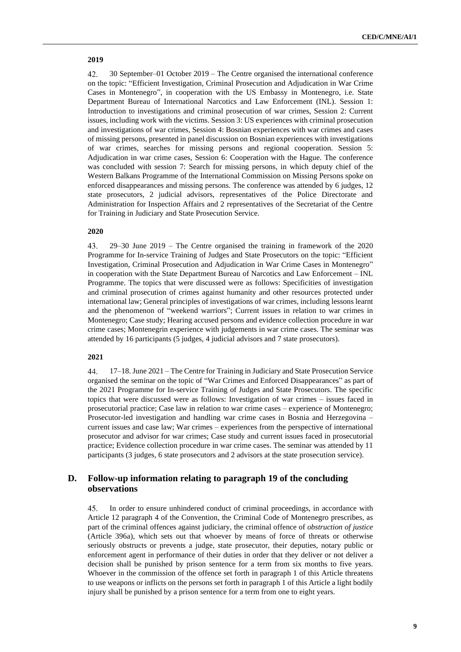#### **2019**

30 September–01 October 2019 – The Centre organised the international conference 42. on the topic: "Efficient Investigation, Criminal Prosecution and Adjudication in War Crime Cases in Montenegro", in cooperation with the US Embassy in Montenegro, i.e. State Department Bureau of International Narcotics and Law Enforcement (INL). Session 1: Introduction to investigations and criminal prosecution of war crimes, Session 2: Current issues, including work with the victims. Session 3: US experiences with criminal prosecution and investigations of war crimes, Session 4: Bosnian experiences with war crimes and cases of missing persons, presented in panel discussion on Bosnian experiences with investigations of war crimes, searches for missing persons and regional cooperation. Session 5: Adjudication in war crime cases, Session 6: Cooperation with the Hague. The conference was concluded with session 7: Search for missing persons, in which deputy chief of the Western Balkans Programme of the International Commission on Missing Persons spoke on enforced disappearances and missing persons. The conference was attended by 6 judges, 12 state prosecutors, 2 judicial advisors, representatives of the Police Directorate and Administration for Inspection Affairs and 2 representatives of the Secretariat of the Centre for Training in Judiciary and State Prosecution Service.

#### **2020**

43. 29–30 June 2019 – The Centre organised the training in framework of the 2020 Programme for In-service Training of Judges and State Prosecutors on the topic: "Efficient Investigation, Criminal Prosecution and Adjudication in War Crime Cases in Montenegro" in cooperation with the State Department Bureau of Narcotics and Law Enforcement – INL Programme. The topics that were discussed were as follows: Specificities of investigation and criminal prosecution of crimes against humanity and other resources protected under international law; General principles of investigations of war crimes, including lessons learnt and the phenomenon of "weekend warriors"; Current issues in relation to war crimes in Montenegro; Case study; Hearing accused persons and evidence collection procedure in war crime cases; Montenegrin experience with judgements in war crime cases. The seminar was attended by 16 participants (5 judges, 4 judicial advisors and 7 state prosecutors).

#### **2021**

44. 17–18. June 2021 – The Centre for Training in Judiciary and State Prosecution Service organised the seminar on the topic of "War Crimes and Enforced Disappearances" as part of the 2021 Programme for In-service Training of Judges and State Prosecutors. The specific topics that were discussed were as follows: Investigation of war crimes – issues faced in prosecutorial practice; Case law in relation to war crime cases – experience of Montenegro; Prosecutor-led investigation and handling war crime cases in Bosnia and Herzegovina – current issues and case law; War crimes – experiences from the perspective of international prosecutor and advisor for war crimes; Case study and current issues faced in prosecutorial practice; Evidence collection procedure in war crime cases. The seminar was attended by 11 participants (3 judges, 6 state prosecutors and 2 advisors at the state prosecution service).

## **D. Follow-up information relating to paragraph 19 of the concluding observations**

45. In order to ensure unhindered conduct of criminal proceedings, in accordance with Article 12 paragraph 4 of the Convention, the Criminal Code of Montenegro prescribes, as part of the criminal offences against judiciary, the criminal offence of *obstruction of justice* (Article 396a), which sets out that whoever by means of force of threats or otherwise seriously obstructs or prevents a judge, state prosecutor, their deputies, notary public or enforcement agent in performance of their duties in order that they deliver or not deliver a decision shall be punished by prison sentence for a term from six months to five years. Whoever in the commission of the offence set forth in paragraph 1 of this Article threatens to use weapons or inflicts on the persons set forth in paragraph 1 of this Article a light bodily injury shall be punished by a prison sentence for a term from one to eight years.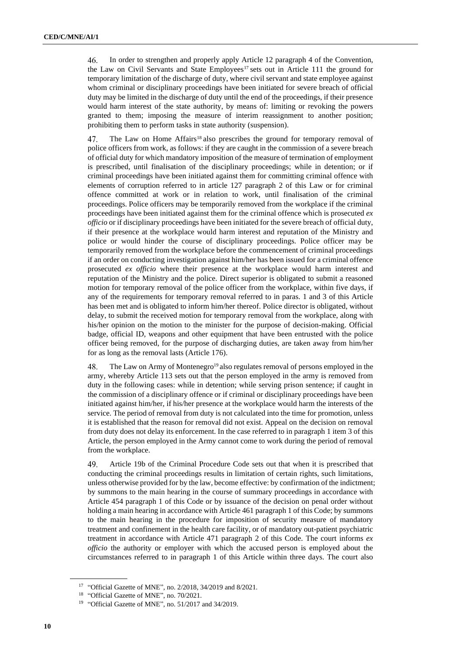In order to strengthen and properly apply Article 12 paragraph 4 of the Convention, 46. the Law on Civil Servants and State Employees<sup>17</sup> sets out in Article 111 the ground for temporary limitation of the discharge of duty, where civil servant and state employee against whom criminal or disciplinary proceedings have been initiated for severe breach of official duty may be limited in the discharge of duty until the end of the proceedings, if their presence would harm interest of the state authority, by means of: limiting or revoking the powers granted to them; imposing the measure of interim reassignment to another position; prohibiting them to perform tasks in state authority (suspension).

The Law on Home Affairs<sup>18</sup> also prescribes the ground for temporary removal of 47. police officers from work, as follows: if they are caught in the commission of a severe breach of official duty for which mandatory imposition of the measure of termination of employment is prescribed, until finalisation of the disciplinary proceedings; while in detention; or if criminal proceedings have been initiated against them for committing criminal offence with elements of corruption referred to in article 127 paragraph 2 of this Law or for criminal offence committed at work or in relation to work, until finalisation of the criminal proceedings. Police officers may be temporarily removed from the workplace if the criminal proceedings have been initiated against them for the criminal offence which is prosecuted *ex officio* or if disciplinary proceedings have been initiated for the severe breach of official duty, if their presence at the workplace would harm interest and reputation of the Ministry and police or would hinder the course of disciplinary proceedings. Police officer may be temporarily removed from the workplace before the commencement of criminal proceedings if an order on conducting investigation against him/her has been issued for a criminal offence prosecuted *ex officio* where their presence at the workplace would harm interest and reputation of the Ministry and the police. Direct superior is obligated to submit a reasoned motion for temporary removal of the police officer from the workplace, within five days, if any of the requirements for temporary removal referred to in paras. 1 and 3 of this Article has been met and is obligated to inform him/her thereof. Police director is obligated, without delay, to submit the received motion for temporary removal from the workplace, along with his/her opinion on the motion to the minister for the purpose of decision-making. Official badge, official ID, weapons and other equipment that have been entrusted with the police officer being removed, for the purpose of discharging duties, are taken away from him/her for as long as the removal lasts (Article 176).

The Law on Army of Montenegro<sup>19</sup> also regulates removal of persons employed in the 48. army, whereby Article 113 sets out that the person employed in the army is removed from duty in the following cases: while in detention; while serving prison sentence; if caught in the commission of a disciplinary offence or if criminal or disciplinary proceedings have been initiated against him/her, if his/her presence at the workplace would harm the interests of the service. The period of removal from duty is not calculated into the time for promotion, unless it is established that the reason for removal did not exist. Appeal on the decision on removal from duty does not delay its enforcement. In the case referred to in paragraph 1 item 3 of this Article, the person employed in the Army cannot come to work during the period of removal from the workplace.

49. Article 19b of the Criminal Procedure Code sets out that when it is prescribed that conducting the criminal proceedings results in limitation of certain rights, such limitations, unless otherwise provided for by the law, become effective: by confirmation of the indictment; by summons to the main hearing in the course of summary proceedings in accordance with Article 454 paragraph 1 of this Code or by issuance of the decision on penal order without holding a main hearing in accordance with Article 461 paragraph 1 of this Code; by summons to the main hearing in the procedure for imposition of security measure of mandatory treatment and confinement in the health care facility, or of mandatory out-patient psychiatric treatment in accordance with Article 471 paragraph 2 of this Code. The court informs *ex officio* the authority or employer with which the accused person is employed about the circumstances referred to in paragraph 1 of this Article within three days. The court also

<sup>17</sup> "Official Gazette of MNE", no. 2/2018, 34/2019 and 8/2021.

<sup>&</sup>lt;sup>18</sup> "Official Gazette of MNE", no. 70/2021.

<sup>19</sup> "Official Gazette of MNE", no. 51/2017 and 34/2019.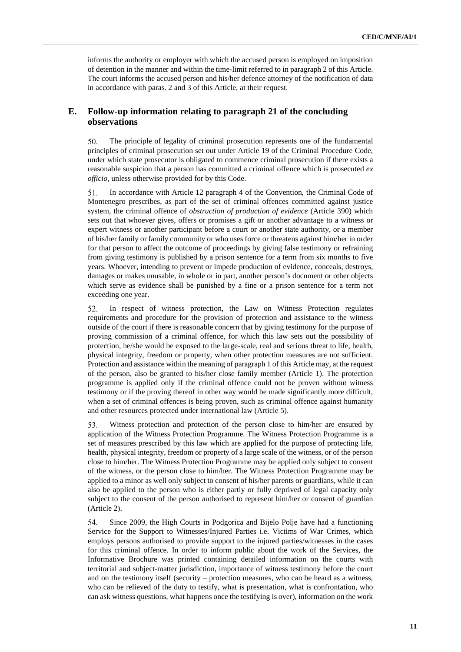informs the authority or employer with which the accused person is employed on imposition of detention in the manner and within the time-limit referred to in paragraph 2 of this Article. The court informs the accused person and his/her defence attorney of the notification of data in accordance with paras. 2 and 3 of this Article, at their request.

### **E. Follow-up information relating to paragraph 21 of the concluding observations**

50. The principle of legality of criminal prosecution represents one of the fundamental principles of criminal prosecution set out under Article 19 of the Criminal Procedure Code, under which state prosecutor is obligated to commence criminal prosecution if there exists a reasonable suspicion that a person has committed a criminal offence which is prosecuted *ex officio*, unless otherwise provided for by this Code.

51. In accordance with Article 12 paragraph 4 of the Convention, the Criminal Code of Montenegro prescribes, as part of the set of criminal offences committed against justice system, the criminal offence of *obstruction of production of evidence* (Article 390) which sets out that whoever gives, offers or promises a gift or another advantage to a witness or expert witness or another participant before a court or another state authority, or a member of his/her family or family community or who uses force or threatens against him/her in order for that person to affect the outcome of proceedings by giving false testimony or refraining from giving testimony is published by a prison sentence for a term from six months to five years. Whoever, intending to prevent or impede production of evidence, conceals, destroys, damages or makes unusable, in whole or in part, another person's document or other objects which serve as evidence shall be punished by a fine or a prison sentence for a term not exceeding one year.

52. In respect of witness protection, the Law on Witness Protection regulates requirements and procedure for the provision of protection and assistance to the witness outside of the court if there is reasonable concern that by giving testimony for the purpose of proving commission of a criminal offence, for which this law sets out the possibility of protection, he/she would be exposed to the large-scale, real and serious threat to life, health, physical integrity, freedom or property, when other protection measures are not sufficient. Protection and assistance within the meaning of paragraph 1 of this Article may, at the request of the person, also be granted to his/her close family member (Article 1). The protection programme is applied only if the criminal offence could not be proven without witness testimony or if the proving thereof in other way would be made significantly more difficult, when a set of criminal offences is being proven, such as criminal offence against humanity and other resources protected under international law (Article 5).

Witness protection and protection of the person close to him/her are ensured by 53. application of the Witness Protection Programme. The Witness Protection Programme is a set of measures prescribed by this law which are applied for the purpose of protecting life, health, physical integrity, freedom or property of a large scale of the witness, or of the person close to him/her. The Witness Protection Programme may be applied only subject to consent of the witness, or the person close to him/her. The Witness Protection Programme may be applied to a minor as well only subject to consent of his/her parents or guardians, while it can also be applied to the person who is either partly or fully deprived of legal capacity only subject to the consent of the person authorised to represent him/her or consent of guardian (Article 2).

54. Since 2009, the High Courts in Podgorica and Bijelo Polje have had a functioning Service for the Support to Witnesses/Injured Parties i.e. Victims of War Crimes, which employs persons authorised to provide support to the injured parties/witnesses in the cases for this criminal offence. In order to inform public about the work of the Services, the Informative Brochure was printed containing detailed information on the courts with territorial and subject-matter jurisdiction, importance of witness testimony before the court and on the testimony itself (security – protection measures, who can be heard as a witness, who can be relieved of the duty to testify, what is presentation, what is confrontation, who can ask witness questions, what happens once the testifying is over), information on the work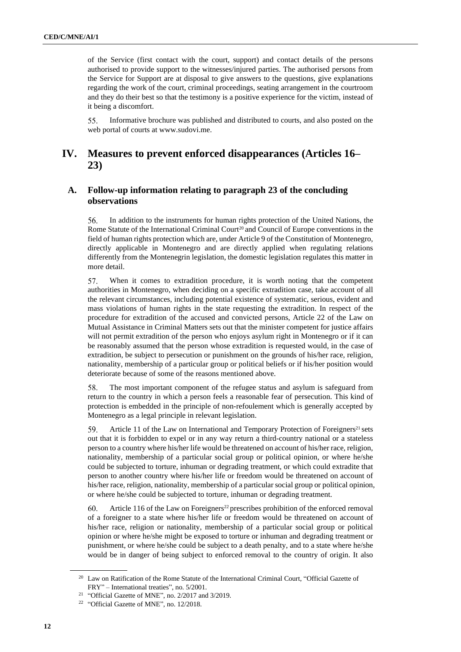of the Service (first contact with the court, support) and contact details of the persons authorised to provide support to the witnesses/injured parties. The authorised persons from the Service for Support are at disposal to give answers to the questions, give explanations regarding the work of the court, criminal proceedings, seating arrangement in the courtroom and they do their best so that the testimony is a positive experience for the victim, instead of it being a discomfort.

55. Informative brochure was published and distributed to courts, and also posted on the web portal of courts at [www.sudovi.me.](http://www.sudovi.me/)

## **IV. Measures to prevent enforced disappearances (Articles 16– 23)**

## **A. Follow-up information relating to paragraph 23 of the concluding observations**

56. In addition to the instruments for human rights protection of the United Nations, the Rome Statute of the International Criminal Court<sup>20</sup> and Council of Europe conventions in the field of human rights protection which are, under Article 9 of the Constitution of Montenegro, directly applicable in Montenegro and are directly applied when regulating relations differently from the Montenegrin legislation, the domestic legislation regulates this matter in more detail.

57. When it comes to extradition procedure, it is worth noting that the competent authorities in Montenegro, when deciding on a specific extradition case, take account of all the relevant circumstances, including potential existence of systematic, serious, evident and mass violations of human rights in the state requesting the extradition. In respect of the procedure for extradition of the accused and convicted persons, Article 22 of the Law on Mutual Assistance in Criminal Matters sets out that the minister competent for justice affairs will not permit extradition of the person who enjoys asylum right in Montenegro or if it can be reasonably assumed that the person whose extradition is requested would, in the case of extradition, be subject to persecution or punishment on the grounds of his/her race, religion, nationality, membership of a particular group or political beliefs or if his/her position would deteriorate because of some of the reasons mentioned above.

58. The most important component of the refugee status and asylum is safeguard from return to the country in which a person feels a reasonable fear of persecution. This kind of protection is embedded in the principle of non-refoulement which is generally accepted by Montenegro as a legal principle in relevant legislation.

59. Article 11 of the Law on International and Temporary Protection of Foreigners<sup>21</sup> sets out that it is forbidden to expel or in any way return a third-country national or a stateless person to a country where his/her life would be threatened on account of his/her race, religion, nationality, membership of a particular social group or political opinion, or where he/she could be subjected to torture, inhuman or degrading treatment, or which could extradite that person to another country where his/her life or freedom would be threatened on account of his/her race, religion, nationality, membership of a particular social group or political opinion, or where he/she could be subjected to torture, inhuman or degrading treatment.

60. Article 116 of the Law on Foreigners<sup>22</sup> prescribes prohibition of the enforced removal of a foreigner to a state where his/her life or freedom would be threatened on account of his/her race, religion or nationality, membership of a particular social group or political opinion or where he/she might be exposed to torture or inhuman and degrading treatment or punishment, or where he/she could be subject to a death penalty, and to a state where he/she would be in danger of being subject to enforced removal to the country of origin. It also

<sup>&</sup>lt;sup>20</sup> Law on Ratification of the Rome Statute of the International Criminal Court, "Official Gazette of FRY" – International treaties", no. 5/2001.

<sup>&</sup>lt;sup>21</sup> "Official Gazette of MNE", no. 2/2017 and 3/2019.

<sup>&</sup>lt;sup>22</sup> "Official Gazette of MNE", no. 12/2018.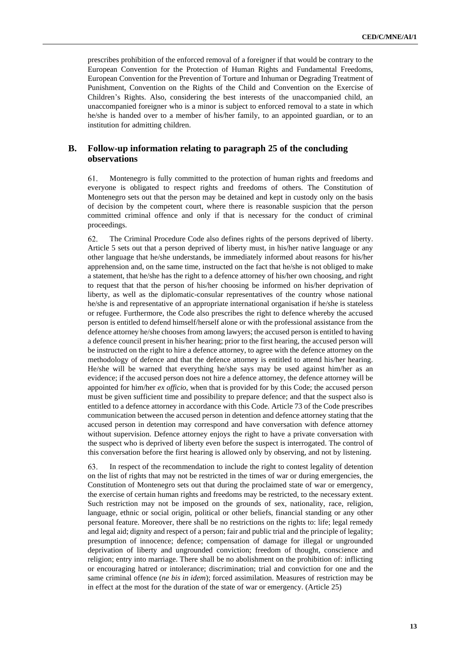prescribes prohibition of the enforced removal of a foreigner if that would be contrary to the European Convention for the Protection of Human Rights and Fundamental Freedoms, European Convention for the Prevention of Torture and Inhuman or Degrading Treatment of Punishment, Convention on the Rights of the Child and Convention on the Exercise of Children's Rights. Also, considering the best interests of the unaccompanied child, an unaccompanied foreigner who is a minor is subject to enforced removal to a state in which he/she is handed over to a member of his/her family, to an appointed guardian, or to an institution for admitting children.

## **B. Follow-up information relating to paragraph 25 of the concluding observations**

61. Montenegro is fully committed to the protection of human rights and freedoms and everyone is obligated to respect rights and freedoms of others. The Constitution of Montenegro sets out that the person may be detained and kept in custody only on the basis of decision by the competent court, where there is reasonable suspicion that the person committed criminal offence and only if that is necessary for the conduct of criminal proceedings.

The Criminal Procedure Code also defines rights of the persons deprived of liberty. 62. Article 5 sets out that a person deprived of liberty must, in his/her native language or any other language that he/she understands, be immediately informed about reasons for his/her apprehension and, on the same time, instructed on the fact that he/she is not obliged to make a statement, that he/she has the right to a defence attorney of his/her own choosing, and right to request that that the person of his/her choosing be informed on his/her deprivation of liberty, as well as the diplomatic-consular representatives of the country whose national he/she is and representative of an appropriate international organisation if he/she is stateless or refugee. Furthermore, the Code also prescribes the right to defence whereby the accused person is entitled to defend himself/herself alone or with the professional assistance from the defence attorney he/she choosesfrom among lawyers; the accused person is entitled to having a defence council present in his/her hearing; prior to the first hearing, the accused person will be instructed on the right to hire a defence attorney, to agree with the defence attorney on the methodology of defence and that the defence attorney is entitled to attend his/her hearing. He/she will be warned that everything he/she says may be used against him/her as an evidence; if the accused person does not hire a defence attorney, the defence attorney will be appointed for him/her *ex officio*, when that is provided for by this Code; the accused person must be given sufficient time and possibility to prepare defence; and that the suspect also is entitled to a defence attorney in accordance with this Code. Article 73 of the Code prescribes communication between the accused person in detention and defence attorney stating that the accused person in detention may correspond and have conversation with defence attorney without supervision. Defence attorney enjoys the right to have a private conversation with the suspect who is deprived of liberty even before the suspect is interrogated. The control of this conversation before the first hearing is allowed only by observing, and not by listening.

In respect of the recommendation to include the right to contest legality of detention 63. on the list of rights that may not be restricted in the times of war or during emergencies, the Constitution of Montenegro sets out that during the proclaimed state of war or emergency, the exercise of certain human rights and freedoms may be restricted, to the necessary extent. Such restriction may not be imposed on the grounds of sex, nationality, race, religion, language, ethnic or social origin, political or other beliefs, financial standing or any other personal feature. Moreover, there shall be no restrictions on the rights to: life; legal remedy and legal aid; dignity and respect of a person; fair and public trial and the principle of legality; presumption of innocence; defence; compensation of damage for illegal or ungrounded deprivation of liberty and ungrounded conviction; freedom of thought, conscience and religion; entry into marriage. There shall be no abolishment on the prohibition of: inflicting or encouraging hatred or intolerance; discrimination; trial and conviction for one and the same criminal offence (*ne bis in idem*); forced assimilation. Measures of restriction may be in effect at the most for the duration of the state of war or emergency. (Article 25)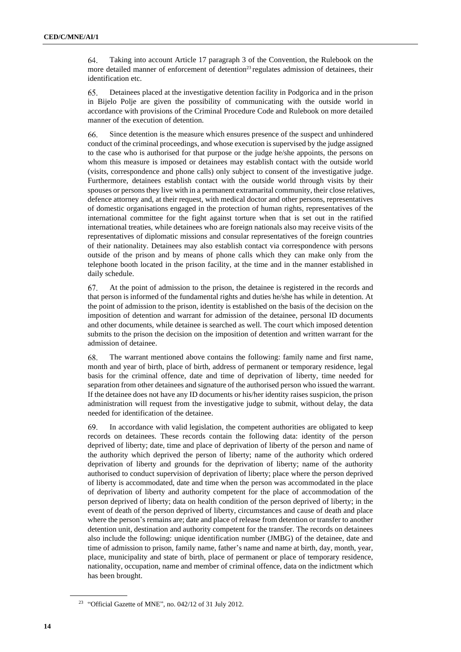Taking into account Article 17 paragraph 3 of the Convention, the Rulebook on the 64. more detailed manner of enforcement of detention<sup>23</sup> regulates admission of detainees, their identification etc.

65. Detainees placed at the investigative detention facility in Podgorica and in the prison in Bijelo Polje are given the possibility of communicating with the outside world in accordance with provisions of the Criminal Procedure Code and Rulebook on more detailed manner of the execution of detention.

66. Since detention is the measure which ensures presence of the suspect and unhindered conduct of the criminal proceedings, and whose execution issupervised by the judge assigned to the case who is authorised for that purpose or the judge he/she appoints, the persons on whom this measure is imposed or detainees may establish contact with the outside world (visits, correspondence and phone calls) only subject to consent of the investigative judge. Furthermore, detainees establish contact with the outside world through visits by their spouses or persons they live with in a permanent extramarital community, their close relatives, defence attorney and, at their request, with medical doctor and other persons, representatives of domestic organisations engaged in the protection of human rights, representatives of the international committee for the fight against torture when that is set out in the ratified international treaties, while detainees who are foreign nationals also may receive visits of the representatives of diplomatic missions and consular representatives of the foreign countries of their nationality. Detainees may also establish contact via correspondence with persons outside of the prison and by means of phone calls which they can make only from the telephone booth located in the prison facility, at the time and in the manner established in daily schedule.

67. At the point of admission to the prison, the detainee is registered in the records and that person is informed of the fundamental rights and duties he/she has while in detention. At the point of admission to the prison, identity is established on the basis of the decision on the imposition of detention and warrant for admission of the detainee, personal ID documents and other documents, while detainee is searched as well. The court which imposed detention submits to the prison the decision on the imposition of detention and written warrant for the admission of detainee.

68. The warrant mentioned above contains the following: family name and first name, month and year of birth, place of birth, address of permanent or temporary residence, legal basis for the criminal offence, date and time of deprivation of liberty, time needed for separation from other detainees and signature of the authorised person who issued the warrant. If the detainee does not have any ID documents or his/her identity raises suspicion, the prison administration will request from the investigative judge to submit, without delay, the data needed for identification of the detainee.

69. In accordance with valid legislation, the competent authorities are obligated to keep records on detainees. These records contain the following data: identity of the person deprived of liberty; date, time and place of deprivation of liberty of the person and name of the authority which deprived the person of liberty; name of the authority which ordered deprivation of liberty and grounds for the deprivation of liberty; name of the authority authorised to conduct supervision of deprivation of liberty; place where the person deprived of liberty is accommodated, date and time when the person was accommodated in the place of deprivation of liberty and authority competent for the place of accommodation of the person deprived of liberty; data on health condition of the person deprived of liberty; in the event of death of the person deprived of liberty, circumstances and cause of death and place where the person's remains are; date and place of release from detention or transfer to another detention unit, destination and authority competent for the transfer. The records on detainees also include the following: unique identification number (JMBG) of the detainee, date and time of admission to prison, family name, father's name and name at birth, day, month, year, place, municipality and state of birth, place of permanent or place of temporary residence, nationality, occupation, name and member of criminal offence, data on the indictment which has been brought.

<sup>&</sup>lt;sup>23</sup> "Official Gazette of MNE", no. 042/12 of 31 July 2012.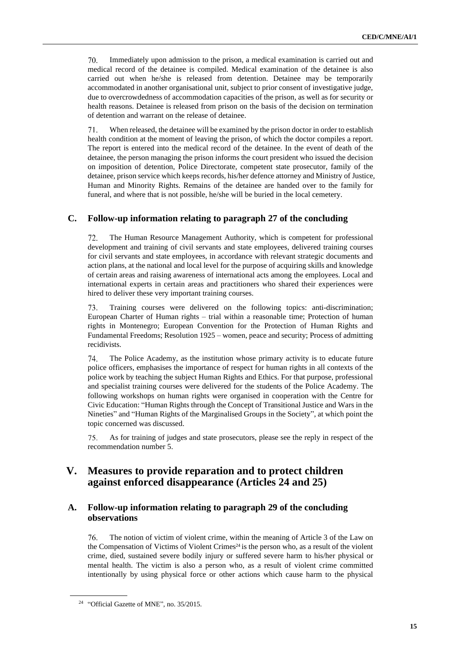70. Immediately upon admission to the prison, a medical examination is carried out and medical record of the detainee is compiled. Medical examination of the detainee is also carried out when he/she is released from detention. Detainee may be temporarily accommodated in another organisational unit, subject to prior consent of investigative judge, due to overcrowdedness of accommodation capacities of the prison, as well as for security or health reasons. Detainee is released from prison on the basis of the decision on termination of detention and warrant on the release of detainee.

71. When released, the detainee will be examined by the prison doctor in order to establish health condition at the moment of leaving the prison, of which the doctor compiles a report. The report is entered into the medical record of the detainee. In the event of death of the detainee, the person managing the prison informs the court president who issued the decision on imposition of detention, Police Directorate, competent state prosecutor, family of the detainee, prison service which keeps records, his/her defence attorney and Ministry of Justice, Human and Minority Rights. Remains of the detainee are handed over to the family for funeral, and where that is not possible, he/she will be buried in the local cemetery.

### **C. Follow-up information relating to paragraph 27 of the concluding**

The Human Resource Management Authority, which is competent for professional 72. development and training of civil servants and state employees, delivered training courses for civil servants and state employees, in accordance with relevant strategic documents and action plans, at the national and local level for the purpose of acquiring skills and knowledge of certain areas and raising awareness of international acts among the employees. Local and international experts in certain areas and practitioners who shared their experiences were hired to deliver these very important training courses.

Training courses were delivered on the following topics: anti-discrimination; 73. European Charter of Human rights – trial within a reasonable time; Protection of human rights in Montenegro; European Convention for the Protection of Human Rights and Fundamental Freedoms; Resolution 1925 – women, peace and security; Process of admitting recidivists.

74. The Police Academy, as the institution whose primary activity is to educate future police officers, emphasises the importance of respect for human rights in all contexts of the police work by teaching the subject Human Rights and Ethics. For that purpose, professional and specialist training courses were delivered for the students of the Police Academy. The following workshops on human rights were organised in cooperation with the Centre for Civic Education: "Human Rights through the Concept of Transitional Justice and Wars in the Nineties" and "Human Rights of the Marginalised Groups in the Society", at which point the topic concerned was discussed.

75. As for training of judges and state prosecutors, please see the reply in respect of the recommendation number 5.

## **V. Measures to provide reparation and to protect children against enforced disappearance (Articles 24 and 25)**

## **A. Follow-up information relating to paragraph 29 of the concluding observations**

The notion of victim of violent crime, within the meaning of Article 3 of the Law on 76. the Compensation of Victims of Violent Crimes<sup>24</sup> is the person who, as a result of the violent crime, died, sustained severe bodily injury or suffered severe harm to his/her physical or mental health. The victim is also a person who, as a result of violent crime committed intentionally by using physical force or other actions which cause harm to the physical

<sup>&</sup>lt;sup>24</sup> "Official Gazette of MNE", no. 35/2015.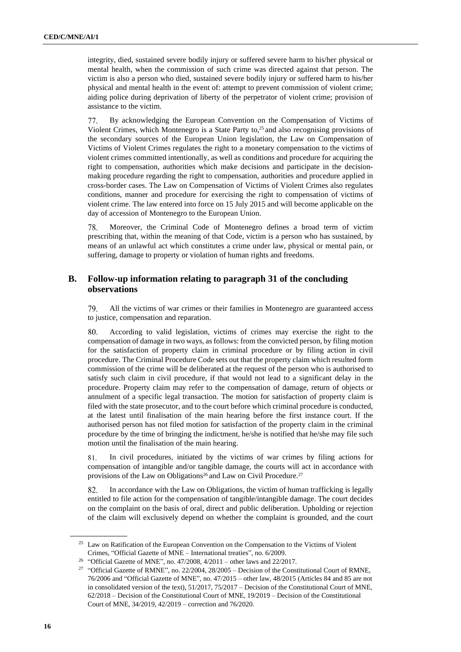integrity, died, sustained severe bodily injury or suffered severe harm to his/her physical or mental health, when the commission of such crime was directed against that person. The victim is also a person who died, sustained severe bodily injury or suffered harm to his/her physical and mental health in the event of: attempt to prevent commission of violent crime; aiding police during deprivation of liberty of the perpetrator of violent crime; provision of assistance to the victim.

77. By acknowledging the European Convention on the Compensation of Victims of Violent Crimes, which Montenegro is a State Party to,<sup>25</sup> and also recognising provisions of the secondary sources of the European Union legislation, the Law on Compensation of Victims of Violent Crimes regulates the right to a monetary compensation to the victims of violent crimes committed intentionally, as well as conditions and procedure for acquiring the right to compensation, authorities which make decisions and participate in the decisionmaking procedure regarding the right to compensation, authorities and procedure applied in cross-border cases. The Law on Compensation of Victims of Violent Crimes also regulates conditions, manner and procedure for exercising the right to compensation of victims of violent crime. The law entered into force on 15 July 2015 and will become applicable on the day of accession of Montenegro to the European Union.

78. Moreover, the Criminal Code of Montenegro defines a broad term of victim prescribing that, within the meaning of that Code, victim is a person who has sustained, by means of an unlawful act which constitutes a crime under law, physical or mental pain, or suffering, damage to property or violation of human rights and freedoms.

## **B. Follow-up information relating to paragraph 31 of the concluding observations**

79. All the victims of war crimes or their families in Montenegro are guaranteed access to justice, compensation and reparation.

80. According to valid legislation, victims of crimes may exercise the right to the compensation of damage in two ways, asfollows: from the convicted person, by filing motion for the satisfaction of property claim in criminal procedure or by filing action in civil procedure. The Criminal Procedure Code sets out that the property claim which resulted form commission of the crime will be deliberated at the request of the person who is authorised to satisfy such claim in civil procedure, if that would not lead to a significant delay in the procedure. Property claim may refer to the compensation of damage, return of objects or annulment of a specific legal transaction. The motion for satisfaction of property claim is filed with the state prosecutor, and to the court before which criminal procedure is conducted, at the latest until finalisation of the main hearing before the first instance court. If the authorised person has not filed motion for satisfaction of the property claim in the criminal procedure by the time of bringing the indictment, he/she is notified that he/she may file such motion until the finalisation of the main hearing.

In civil procedures, initiated by the victims of war crimes by filing actions for 81. compensation of intangible and/or tangible damage, the courts will act in accordance with provisions of the Law on Obligations<sup>26</sup> and Law on Civil Procedure.<sup>27</sup>

In accordance with the Law on Obligations, the victim of human trafficking is legally 82. entitled to file action for the compensation of tangible/intangible damage. The court decides on the complaint on the basis of oral, direct and public deliberation. Upholding or rejection of the claim will exclusively depend on whether the complaint is grounded, and the court

<sup>&</sup>lt;sup>25</sup> Law on Ratification of the European Convention on the Compensation to the Victims of Violent Crimes, "Official Gazette of MNE – International treaties", no. 6/2009.

<sup>&</sup>lt;sup>26</sup> "Official Gazette of MNE", no. 47/2008,  $4/2011$  – other laws and  $22/2017$ .

<sup>&</sup>lt;sup>27</sup> "Official Gazette of RMNE", no. 22/2004, 28/2005 – Decision of the Constitutional Court of RMNE, 76/2006 and "Official Gazette of MNE", no. 47/2015 – other law, 48/2015 (Articles 84 and 85 are not in consolidated version of the text), 51/2017, 75/2017 – Decision of the Constitutional Court of MNE, 62/2018 – Decision of the Constitutional Court of MNE, 19/2019 – Decision of the Constitutional Court of MNE, 34/2019, 42/2019 – correction and 76/2020.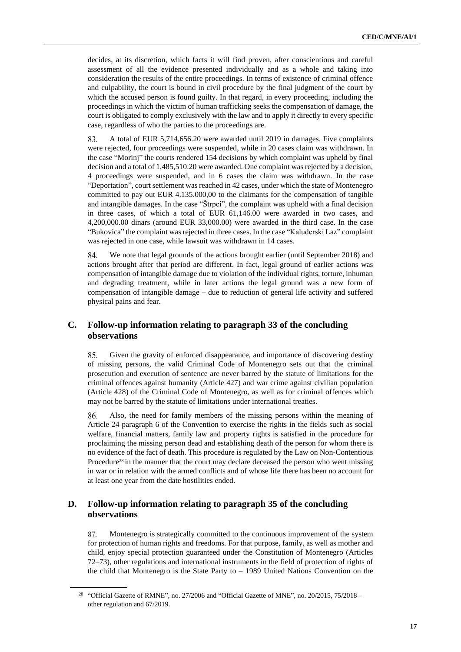decides, at its discretion, which facts it will find proven, after conscientious and careful assessment of all the evidence presented individually and as a whole and taking into consideration the results of the entire proceedings. In terms of existence of criminal offence and culpability, the court is bound in civil procedure by the final judgment of the court by which the accused person is found guilty. In that regard, in every proceeding, including the proceedings in which the victim of human trafficking seeks the compensation of damage, the court is obligated to comply exclusively with the law and to apply it directly to every specific case, regardless of who the parties to the proceedings are.

A total of EUR 5,714,656.20 were awarded until 2019 in damages. Five complaints 83. were rejected, four proceedings were suspended, while in 20 cases claim was withdrawn. In the case "Morinj" the courts rendered 154 decisions by which complaint was upheld by final decision and a total of 1,485,510.20 were awarded. One complaint was rejected by a decision, 4 proceedings were suspended, and in 6 cases the claim was withdrawn. In the case "Deportation", court settlement was reached in 42 cases, under which the state of Montenegro committed to pay out EUR 4.135.000,00 to the claimants for the compensation of tangible and intangible damages. In the case "Štrpci", the complaint was upheld with a final decision in three cases, of which a total of EUR 61,146.00 were awarded in two cases, and 4,200,000.00 dinars (around EUR 33,000.00) were awarded in the third case. In the case "Bukovica" the complaint was rejected in three cases. In the case "Kaluđerski Laz" complaint was rejected in one case, while lawsuit was withdrawn in 14 cases.

84. We note that legal grounds of the actions brought earlier (until September 2018) and actions brought after that period are different. In fact, legal ground of earlier actions was compensation of intangible damage due to violation of the individual rights, torture, inhuman and degrading treatment, while in later actions the legal ground was a new form of compensation of intangible damage – due to reduction of general life activity and suffered physical pains and fear.

## **C. Follow-up information relating to paragraph 33 of the concluding observations**

85. Given the gravity of enforced disappearance, and importance of discovering destiny of missing persons, the valid Criminal Code of Montenegro sets out that the criminal prosecution and execution of sentence are never barred by the statute of limitations for the criminal offences against humanity (Article 427) and war crime against civilian population (Article 428) of the Criminal Code of Montenegro, as well as for criminal offences which may not be barred by the statute of limitations under international treaties.

86. Also, the need for family members of the missing persons within the meaning of Article 24 paragraph 6 of the Convention to exercise the rights in the fields such as social welfare, financial matters, family law and property rights is satisfied in the procedure for proclaiming the missing person dead and establishing death of the person for whom there is no evidence of the fact of death. This procedure is regulated by the Law on Non-Contentious Procedure<sup>28</sup> in the manner that the court may declare deceased the person who went missing in war or in relation with the armed conflicts and of whose life there has been no account for at least one year from the date hostilities ended.

## **D. Follow-up information relating to paragraph 35 of the concluding observations**

87. Montenegro is strategically committed to the continuous improvement of the system for protection of human rights and freedoms. For that purpose, family, as well as mother and child, enjoy special protection guaranteed under the Constitution of Montenegro (Articles 72–73), other regulations and international instruments in the field of protection of rights of the child that Montenegro is the State Party to – 1989 United Nations Convention on the

<sup>28</sup> "Official Gazette of RMNE", no. 27/2006 and "Official Gazette of MNE", no. 20/2015, 75/2018 – other regulation and 67/2019.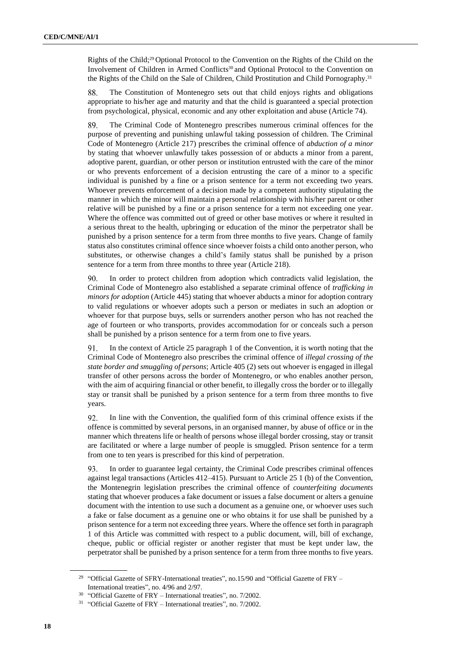Rights of the Child;<sup>29</sup> Optional Protocol to the Convention on the Rights of the Child on the Involvement of Children in Armed Conflicts<sup>30</sup> and Optional Protocol to the Convention on the Rights of the Child on the Sale of Children, Child Prostitution and Child Pornography.<sup>31</sup>

88. The Constitution of Montenegro sets out that child enjoys rights and obligations appropriate to his/her age and maturity and that the child is guaranteed a special protection from psychological, physical, economic and any other exploitation and abuse (Article 74).

89. The Criminal Code of Montenegro prescribes numerous criminal offences for the purpose of preventing and punishing unlawful taking possession of children. The Criminal Code of Montenegro (Article 217) prescribes the criminal offence of *abduction of a minor* by stating that whoever unlawfully takes possession of or abducts a minor from a parent, adoptive parent, guardian, or other person or institution entrusted with the care of the minor or who prevents enforcement of a decision entrusting the care of a minor to a specific individual is punished by a fine or a prison sentence for a term not exceeding two years. Whoever prevents enforcement of a decision made by a competent authority stipulating the manner in which the minor will maintain a personal relationship with his/her parent or other relative will be punished by a fine or a prison sentence for a term not exceeding one year. Where the offence was committed out of greed or other base motives or where it resulted in a serious threat to the health, upbringing or education of the minor the perpetrator shall be punished by a prison sentence for a term from three months to five years. Change of family status also constitutes criminal offence since whoever foists a child onto another person, who substitutes, or otherwise changes a child's family status shall be punished by a prison sentence for a term from three months to three year (Article 218).

90. In order to protect children from adoption which contradicts valid legislation, the Criminal Code of Montenegro also established a separate criminal offence of *trafficking in minors for adoption* (Article 445) stating that whoever abducts a minor for adoption contrary to valid regulations or whoever adopts such a person or mediates in such an adoption or whoever for that purpose buys, sells or surrenders another person who has not reached the age of fourteen or who transports, provides accommodation for or conceals such a person shall be punished by a prison sentence for a term from one to five years.

91. In the context of Article 25 paragraph 1 of the Convention, it is worth noting that the Criminal Code of Montenegro also prescribes the criminal offence of *illegal crossing of the state border and smuggling of persons*; Article 405 (2) sets out whoever is engaged in illegal transfer of other persons across the border of Montenegro, or who enables another person, with the aim of acquiring financial or other benefit, to illegally cross the border or to illegally stay or transit shall be punished by a prison sentence for a term from three months to five years.

92. In line with the Convention, the qualified form of this criminal offence exists if the offence is committed by several persons, in an organised manner, by abuse of office or in the manner which threatens life or health of persons whose illegal border crossing, stay or transit are facilitated or where a large number of people is smuggled. Prison sentence for a term from one to ten years is prescribed for this kind of perpetration.

93. In order to guarantee legal certainty, the Criminal Code prescribes criminal offences against legal transactions (Articles 412–415). Pursuant to Article 25 1 (b) of the Convention, the Montenegrin legislation prescribes the criminal offence of *counterfeiting documents* stating that whoever produces a fake document or issues a false document or alters a genuine document with the intention to use such a document as a genuine one, or whoever uses such a fake or false document as a genuine one or who obtains it for use shall be punished by a prison sentence for a term not exceeding three years. Where the offence set forth in paragraph 1 of this Article was committed with respect to a public document, will, bill of exchange, cheque, public or official register or another register that must be kept under law, the perpetrator shall be punished by a prison sentence for a term from three months to five years.

<sup>&</sup>lt;sup>29</sup> "Official Gazette of SFRY-International treaties", no.15/90 and "Official Gazette of FRY – International treaties", no. 4/96 and 2/97.

<sup>&</sup>lt;sup>30</sup> "Official Gazette of FRY – International treaties", no. 7/2002.

<sup>&</sup>lt;sup>31</sup> "Official Gazette of FRY – International treaties", no. 7/2002.